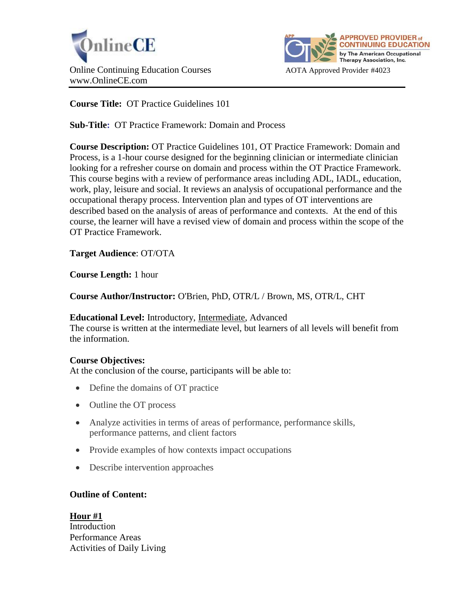



**Course Title:** OT Practice Guidelines 101

**Sub-Title:** OT Practice Framework: Domain and Process

**Course Description:** OT Practice Guidelines 101, OT Practice Framework: Domain and Process, is a 1-hour course designed for the beginning clinician or intermediate clinician looking for a refresher course on domain and process within the OT Practice Framework. This course begins with a review of performance areas including ADL, IADL, education, work, play, leisure and social. It reviews an analysis of occupational performance and the occupational therapy process. Intervention plan and types of OT interventions are described based on the analysis of areas of performance and contexts. At the end of this course, the learner will have a revised view of domain and process within the scope of the OT Practice Framework.

**Target Audience**: OT/OTA

**Course Length:** 1 hour

**Course Author/Instructor:** O'Brien, PhD, OTR/L / Brown, MS, OTR/L, CHT

**Educational Level:** Introductory, Intermediate, Advanced

The course is written at the intermediate level, but learners of all levels will benefit from the information.

# **Course Objectives:**

At the conclusion of the course, participants will be able to:

- Define the domains of OT practice
- Outline the OT process
- Analyze activities in terms of areas of performance, performance skills, performance patterns, and client factors
- Provide examples of how contexts impact occupations
- Describe intervention approaches

# **Outline of Content:**

**Hour #1** Introduction Performance Areas Activities of Daily Living